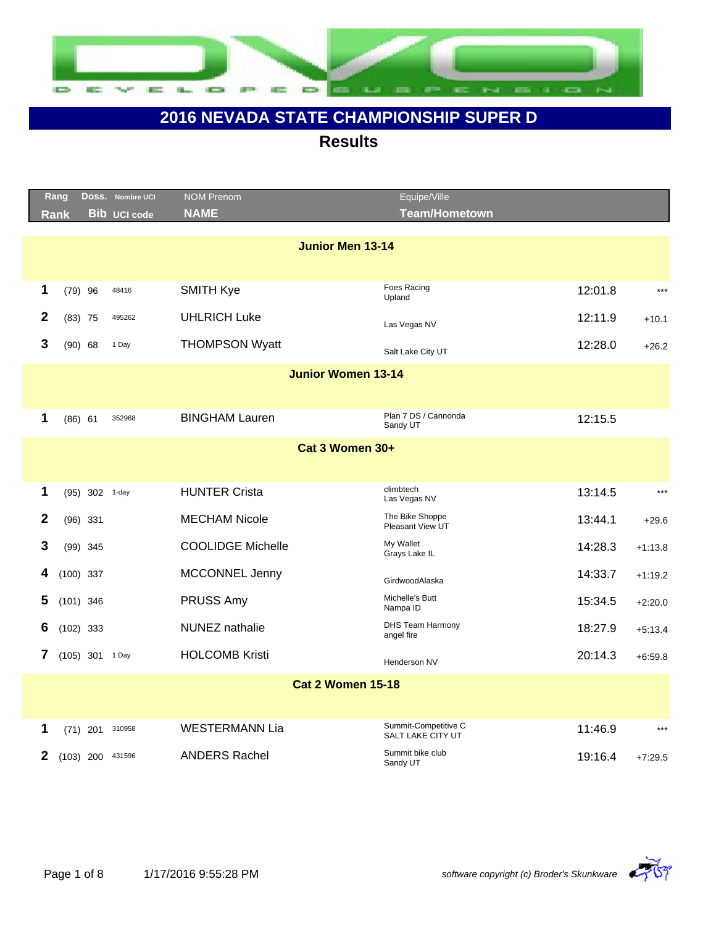

|              | Rang        |                  | Doss. Nombre UCI    | <b>NOM Prenom</b><br><b>NAME</b> | Equipe/Ville<br><b>Team/Hometown</b>      |         |           |
|--------------|-------------|------------------|---------------------|----------------------------------|-------------------------------------------|---------|-----------|
|              | <b>Rank</b> |                  | <b>Bib UCI code</b> |                                  |                                           |         |           |
|              |             |                  |                     | <b>Junior Men 13-14</b>          |                                           |         |           |
|              |             |                  |                     |                                  |                                           |         |           |
| 1            |             | $(79)$ 96        | 48416               | <b>SMITH Kye</b>                 | Foes Racing<br>Upland                     | 12:01.8 | $***$     |
| $\mathbf{2}$ |             | $(83)$ 75        | 495262              | <b>UHLRICH Luke</b>              | Las Vegas NV                              | 12:11.9 | $+10.1$   |
| 3            |             | $(90)$ 68        | 1 Day               | <b>THOMPSON Wyatt</b>            | Salt Lake City UT                         | 12:28.0 | $+26.2$   |
|              |             |                  |                     | <b>Junior Women 13-14</b>        |                                           |         |           |
|              |             |                  |                     |                                  |                                           |         |           |
| 1            |             | $(86)$ 61        | 352968              | <b>BINGHAM Lauren</b>            | Plan 7 DS / Cannonda<br>Sandy UT          | 12:15.5 |           |
|              |             |                  |                     | Cat 3 Women 30+                  |                                           |         |           |
|              |             |                  |                     |                                  |                                           |         |           |
| 1            |             | (95) 302 1-day   |                     | <b>HUNTER Crista</b>             | climbtech<br>Las Vegas NV                 | 13:14.5 | $***$     |
| $\mathbf{2}$ |             | $(96)$ 331       |                     | <b>MECHAM Nicole</b>             | The Bike Shoppe<br>Pleasant View UT       | 13:44.1 | $+29.6$   |
| 3            |             | $(99)$ 345       |                     | <b>COOLIDGE Michelle</b>         | My Wallet<br>Grays Lake IL                | 14:28.3 | $+1:13.8$ |
| 4            |             | $(100)$ 337      |                     | <b>MCCONNEL Jenny</b>            | GirdwoodAlaska                            | 14:33.7 | $+1:19.2$ |
| 5            |             | $(101)$ 346      |                     | PRUSS Amy                        | Michelle's Butt<br>Nampa ID               | 15:34.5 | $+2:20.0$ |
| 6            |             | $(102)$ 333      |                     | NUNEZ nathalie                   | <b>DHS Team Harmony</b><br>angel fire     | 18:27.9 | $+5:13.4$ |
| 7            |             | (105) 301 1 Day  |                     | <b>HOLCOMB Kristi</b>            | Henderson NV                              | 20:14.3 | $+6:59.8$ |
|              |             |                  |                     | <b>Cat 2 Women 15-18</b>         |                                           |         |           |
|              |             |                  |                     |                                  |                                           |         |           |
| 1            |             | (71) 201 310958  |                     | <b>WESTERMANN Lia</b>            | Summit-Competitive C<br>SALT LAKE CITY UT | 11:46.9 | $***$     |
| $\mathbf{2}$ |             | (103) 200 431596 |                     | <b>ANDERS Rachel</b>             | Summit bike club<br>Sandy UT              | 19:16.4 | $+7:29.5$ |

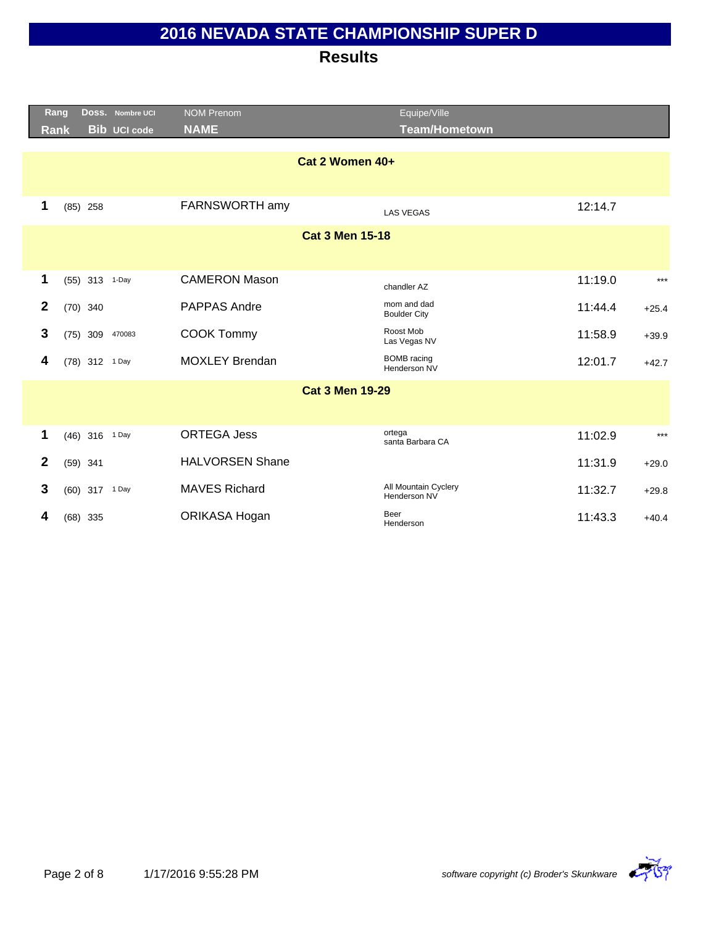| <b>NAME</b><br>Team/Hometown<br><b>Bib UCI code</b><br><b>Rank</b>                        |                    |
|-------------------------------------------------------------------------------------------|--------------------|
| Cat 2 Women 40+                                                                           |                    |
|                                                                                           |                    |
| 1<br>FARNSWORTH amy<br>$(85)$ 258<br><b>LAS VEGAS</b>                                     | 12:14.7            |
| <b>Cat 3 Men 15-18</b>                                                                    |                    |
|                                                                                           |                    |
| 1<br><b>CAMERON Mason</b><br>(55) 313 1-Day<br>chandler AZ                                | 11:19.0<br>$***$   |
| mom and dad<br>$\overline{2}$<br><b>PAPPAS Andre</b><br>$(70)$ 340<br><b>Boulder City</b> | 11:44.4<br>$+25.4$ |
| Roost Mob<br>3<br><b>COOK Tommy</b><br>470083<br>$(75)$ 309<br>Las Vegas NV               | 11:58.9<br>$+39.9$ |
| <b>BOMB</b> racing<br><b>MOXLEY Brendan</b><br>4<br>(78) 312 1 Day<br>Henderson NV        | 12:01.7<br>$+42.7$ |
| <b>Cat 3 Men 19-29</b>                                                                    |                    |
|                                                                                           |                    |
| ortega<br><b>ORTEGA Jess</b><br>1<br>(46) 316 1 Day<br>santa Barbara CA                   | 11:02.9<br>$***$   |
| $\mathbf{2}$<br><b>HALVORSEN Shane</b><br>$(59)$ 341                                      | 11:31.9<br>$+29.0$ |
| All Mountain Cyclery<br>3<br><b>MAVES Richard</b><br>(60) 317 1 Day<br>Henderson NV       | 11:32.7<br>$+29.8$ |
|                                                                                           |                    |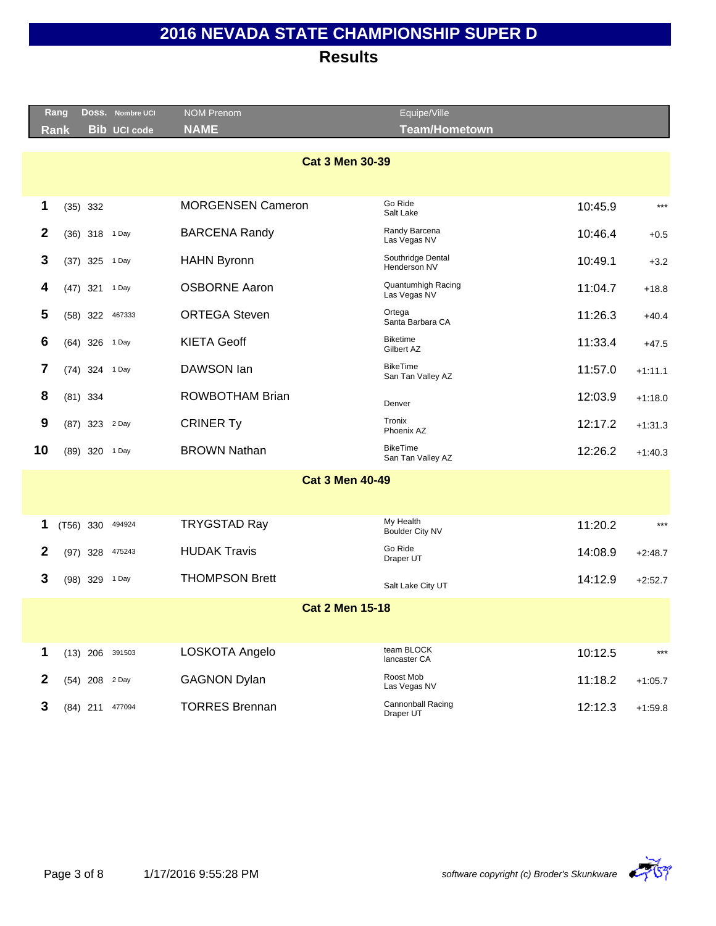|              | Rang                   |                | DOSS. Nombre UCI    | NOM Prenom               | Equipe/Ville                         |         |           |  |  |
|--------------|------------------------|----------------|---------------------|--------------------------|--------------------------------------|---------|-----------|--|--|
|              | Rank                   |                | <b>Bib UCI code</b> | <b>NAME</b>              | <b>Team/Hometown</b>                 |         |           |  |  |
|              | <b>Cat 3 Men 30-39</b> |                |                     |                          |                                      |         |           |  |  |
|              |                        |                |                     |                          |                                      |         |           |  |  |
| 1            |                        | $(35)$ 332     |                     | <b>MORGENSEN Cameron</b> | Go Ride<br>Salt Lake                 | 10:45.9 | $***$     |  |  |
| $\mathbf{2}$ |                        | (36) 318 1 Day |                     | <b>BARCENA Randy</b>     | Randy Barcena<br>Las Vegas NV        | 10:46.4 | $+0.5$    |  |  |
| 3            |                        | $(37)$ 325     | 1 Day               | <b>HAHN Byronn</b>       | Southridge Dental<br>Henderson NV    | 10:49.1 | $+3.2$    |  |  |
| 4            |                        | $(47)$ 321     | 1 Day               | <b>OSBORNE Aaron</b>     | Quantumhigh Racing<br>Las Vegas NV   | 11:04.7 | $+18.8$   |  |  |
| 5            |                        | $(58)$ 322     | 467333              | <b>ORTEGA Steven</b>     | Ortega<br>Santa Barbara CA           | 11:26.3 | $+40.4$   |  |  |
| 6            |                        | (64) 326 1 Day |                     | <b>KIETA Geoff</b>       | <b>Biketime</b><br>Gilbert AZ        | 11:33.4 | $+47.5$   |  |  |
| 7            |                        | (74) 324 1 Day |                     | DAWSON lan               | <b>BikeTime</b><br>San Tan Valley AZ | 11:57.0 | $+1:11.1$ |  |  |
| 8            |                        | $(81)$ 334     |                     | <b>ROWBOTHAM Brian</b>   | Denver                               | 12:03.9 | $+1:18.0$ |  |  |
| 9            |                        | (87) 323 2 Day |                     | <b>CRINER Ty</b>         | Tronix<br>Phoenix AZ                 | 12:17.2 | $+1:31.3$ |  |  |
| 10           |                        | (89) 320 1 Day |                     | <b>BROWN Nathan</b>      | <b>BikeTime</b><br>San Tan Valley AZ | 12:26.2 | $+1:40.3$ |  |  |
|              |                        |                |                     | <b>Cat 3 Men 40-49</b>   |                                      |         |           |  |  |
|              |                        |                |                     |                          |                                      |         |           |  |  |
| 1            | $(T56)$ 330            |                | 494924              | <b>TRYGSTAD Ray</b>      | My Health<br>Boulder City NV         | 11:20.2 | $***$     |  |  |
| 2            |                        | $(97)$ 328     | 475243              | <b>HUDAK Travis</b>      | Go Ride<br>Draper UT                 | 14:08.9 | $+2:48.7$ |  |  |
| 3            |                        | (98) 329 1 Day |                     | <b>THOMPSON Brett</b>    | Salt Lake City UT                    | 14:12.9 | $+2:52.7$ |  |  |
|              |                        |                |                     | <b>Cat 2 Men 15-18</b>   |                                      |         |           |  |  |
|              |                        |                |                     |                          |                                      |         |           |  |  |
| 1            |                        |                | $(13)$ 206 391503   | LOSKOTA Angelo           | team BLOCK<br>lancaster CA           | 10:12.5 | $***$     |  |  |
| $\mathbf 2$  |                        | (54) 208 2 Day |                     | <b>GAGNON Dylan</b>      | Roost Mob<br>Las Vegas NV            | 11:18.2 | $+1:05.7$ |  |  |
| 3            |                        |                | (84) 211 477094     | <b>TORRES Brennan</b>    | Cannonball Racing<br>Draper UT       | 12:12.3 | $+1:59.8$ |  |  |
|              |                        |                |                     |                          |                                      |         |           |  |  |

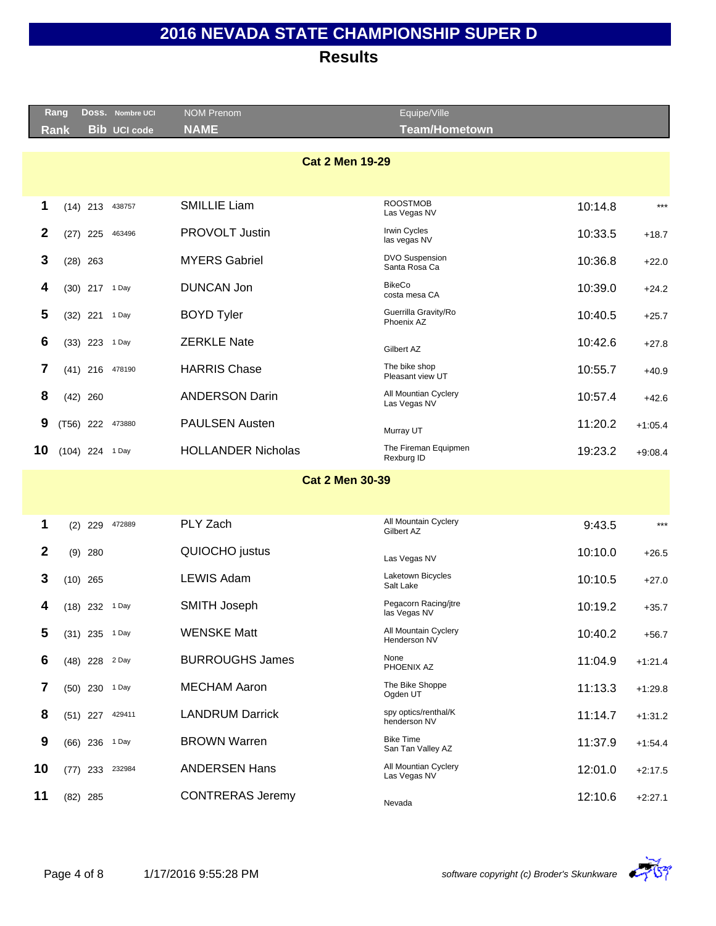|                  | Rang                   |                | DOSS. Nombre UCI    | <b>NOM Prenom</b>         | Equipe/Ville                           |         |           |  |
|------------------|------------------------|----------------|---------------------|---------------------------|----------------------------------------|---------|-----------|--|
|                  | <b>Rank</b>            |                | <b>Bib UCI code</b> | <b>NAME</b>               | <b>Team/Hometown</b>                   |         |           |  |
|                  |                        |                |                     |                           |                                        |         |           |  |
|                  | <b>Cat 2 Men 19-29</b> |                |                     |                           |                                        |         |           |  |
|                  |                        |                |                     |                           |                                        |         |           |  |
| 1                |                        | $(14)$ 213     | 438757              | <b>SMILLIE Liam</b>       | <b>ROOSTMOB</b><br>Las Vegas NV        | 10:14.8 | $***$     |  |
| $\mathbf{2}$     |                        | $(27)$ 225     | 463496              | <b>PROVOLT Justin</b>     | <b>Irwin Cycles</b><br>las vegas NV    | 10:33.5 | $+18.7$   |  |
| 3                |                        | $(28)$ 263     |                     | <b>MYERS Gabriel</b>      | <b>DVO Suspension</b><br>Santa Rosa Ca | 10:36.8 | $+22.0$   |  |
| 4                |                        | (30) 217 1 Day |                     | <b>DUNCAN Jon</b>         | <b>BikeCo</b><br>costa mesa CA         | 10:39.0 | $+24.2$   |  |
| 5                |                        | (32) 221 1 Day |                     | <b>BOYD Tyler</b>         | Guerrilla Gravity/Ro<br>Phoenix AZ     | 10:40.5 | $+25.7$   |  |
| 6                |                        | $(33)$ 223     | 1 Day               | <b>ZERKLE Nate</b>        | Gilbert AZ                             | 10:42.6 | $+27.8$   |  |
| 7                |                        | $(41)$ 216     | 478190              | <b>HARRIS Chase</b>       | The bike shop<br>Pleasant view UT      | 10:55.7 | $+40.9$   |  |
| 8                |                        | $(42)$ 260     |                     | <b>ANDERSON Darin</b>     | All Mountian Cyclery<br>Las Vegas NV   | 10:57.4 | $+42.6$   |  |
| 9                |                        |                | (T56) 222 473880    | <b>PAULSEN Austen</b>     | Murray UT                              | 11:20.2 | $+1:05.4$ |  |
| 10               | (104) 224 1 Day        |                |                     | <b>HOLLANDER Nicholas</b> | The Fireman Equipmen<br>Rexburg ID     | 19:23.2 | $+9:08.4$ |  |
|                  |                        |                |                     | <b>Cat 2 Men 30-39</b>    |                                        |         |           |  |
|                  |                        |                |                     |                           |                                        |         |           |  |
|                  |                        |                |                     |                           | All Mountain Cyclery                   |         |           |  |
| 1                |                        | $(2)$ 229      | 472889              | PLY Zach                  | Gilbert AZ                             | 9:43.5  | $***$     |  |
| $\boldsymbol{2}$ |                        | $(9)$ 280      |                     | QUIOCHO justus            | Las Vegas NV                           | 10:10.0 | $+26.5$   |  |
| 3                |                        | $(10)$ 265     |                     | <b>LEWIS Adam</b>         | Laketown Bicycles<br>Salt Lake         | 10:10.5 | $+27.0$   |  |
| 4                |                        | (18) 232 1 Day |                     | <b>SMITH Joseph</b>       | Pegacorn Racing/jtre<br>las Vegas NV   | 10:19.2 | $+35.7$   |  |
| 5                |                        | (31) 235 1 Day |                     | <b>WENSKE Matt</b>        | All Mountain Cyclery<br>Henderson NV   | 10:40.2 | $+56.7$   |  |
| 6                |                        | (48) 228 2 Day |                     | <b>BURROUGHS James</b>    | None<br>PHOENIX AZ                     | 11:04.9 | $+1:21.4$ |  |
| 7                |                        | (50) 230 1 Day |                     | <b>MECHAM Aaron</b>       | The Bike Shoppe<br>Ogden UT            | 11:13.3 | $+1:29.8$ |  |
| 8                |                        | $(51)$ 227     | 429411              | <b>LANDRUM Darrick</b>    | spy optics/renthal/K<br>henderson NV   | 11:14.7 | $+1:31.2$ |  |
| $\boldsymbol{9}$ |                        | $(66)$ 236     | 1 Day               | <b>BROWN Warren</b>       | <b>Bike Time</b><br>San Tan Valley AZ  | 11:37.9 | $+1.54.4$ |  |
| 10               |                        | $(77)$ 233     | 232984              | <b>ANDERSEN Hans</b>      | All Mountian Cyclery<br>Las Vegas NV   | 12:01.0 | $+2:17.5$ |  |
| 11               |                        | $(82)$ 285     |                     | <b>CONTRERAS Jeremy</b>   | Nevada                                 | 12:10.6 | $+2:27.1$ |  |

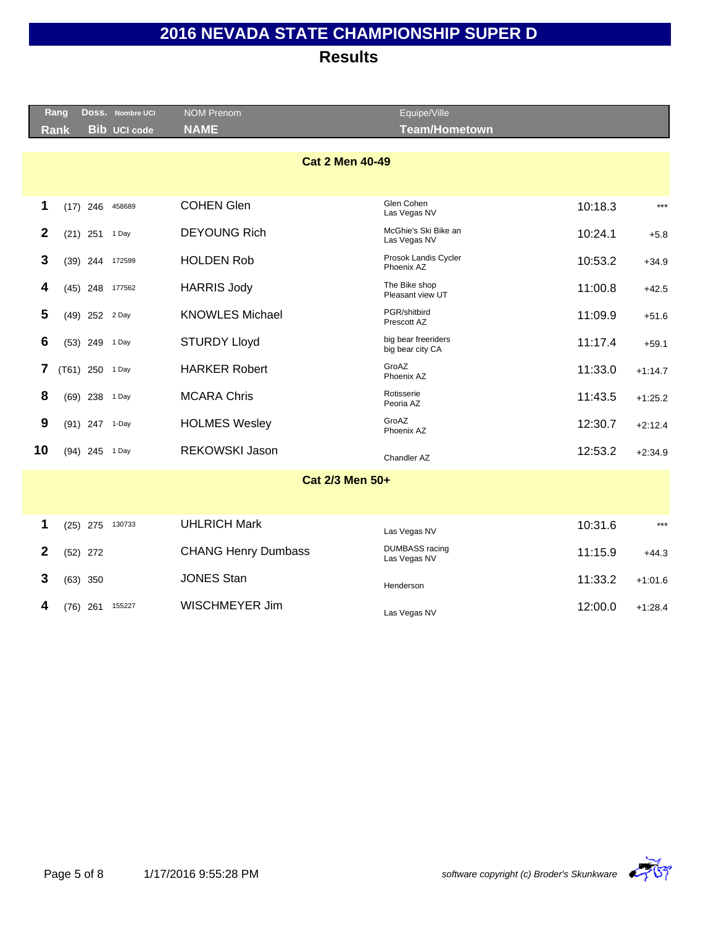|              | Rang |                 | DOSS. Nombre UCI    | <b>NOM Prenom</b>          | Equipe/Ville                            |         |           |
|--------------|------|-----------------|---------------------|----------------------------|-----------------------------------------|---------|-----------|
|              | Rank |                 | <b>Bib UCI code</b> | <b>NAME</b>                | <b>Team/Hometown</b>                    |         |           |
|              |      |                 |                     | <b>Cat 2 Men 40-49</b>     | Glen Cohen                              |         |           |
| 1            |      | $(17)$ 246      | 458689              | <b>COHEN Glen</b>          | Las Vegas NV                            | 10:18.3 | $***$     |
| $\mathbf{2}$ |      | $(21)$ 251      | 1 Day               | <b>DEYOUNG Rich</b>        | McGhie's Ski Bike an<br>Las Vegas NV    | 10:24.1 | $+5.8$    |
| 3            |      | $(39)$ 244      | 172599              | <b>HOLDEN Rob</b>          | Prosok Landis Cycler<br>Phoenix AZ      | 10:53.2 | $+34.9$   |
| 4            |      | $(45)$ 248      | 177562              | <b>HARRIS Jody</b>         | The Bike shop<br>Pleasant view UT       | 11:00.8 | $+42.5$   |
| 5            |      | (49) 252 2 Day  |                     | <b>KNOWLES Michael</b>     | PGR/shitbird<br>Prescott AZ             | 11:09.9 | $+51.6$   |
| 6            |      | (53) 249 1 Day  |                     | <b>STURDY Lloyd</b>        | big bear freeriders<br>big bear city CA | 11:17.4 | $+59.1$   |
| 7            |      | (T61) 250 1 Day |                     | <b>HARKER Robert</b>       | GroAZ<br>Phoenix AZ                     | 11:33.0 | $+1:14.7$ |
| 8            |      | $(69)$ 238      | 1 Day               | <b>MCARA Chris</b>         | Rotisserie<br>Peoria AZ                 | 11:43.5 | $+1:25.2$ |
| 9            |      | (91) 247 1-Day  |                     | <b>HOLMES Wesley</b>       | GroAZ<br>Phoenix AZ                     | 12:30.7 | $+2:12.4$ |
| 10           |      | (94) 245 1 Day  |                     | <b>REKOWSKI Jason</b>      | Chandler AZ                             | 12:53.2 | $+2:34.9$ |
|              |      |                 |                     | Cat 2/3 Men 50+            |                                         |         |           |
|              |      |                 |                     |                            |                                         |         |           |
| 1            |      |                 | (25) 275 130733     | <b>UHLRICH Mark</b>        | Las Vegas NV                            | 10:31.6 | $***$     |
| $\mathbf{2}$ |      | $(52)$ 272      |                     | <b>CHANG Henry Dumbass</b> | <b>DUMBASS</b> racing<br>Las Vegas NV   | 11:15.9 | $+44.3$   |
| 3            |      | $(63)$ 350      |                     | <b>JONES Stan</b>          | Henderson                               | 11:33.2 | $+1:01.6$ |
| 4            |      | (76) 261        | 155227              | <b>WISCHMEYER Jim</b>      | Las Vegas NV                            | 12:00.0 | $+1.28.4$ |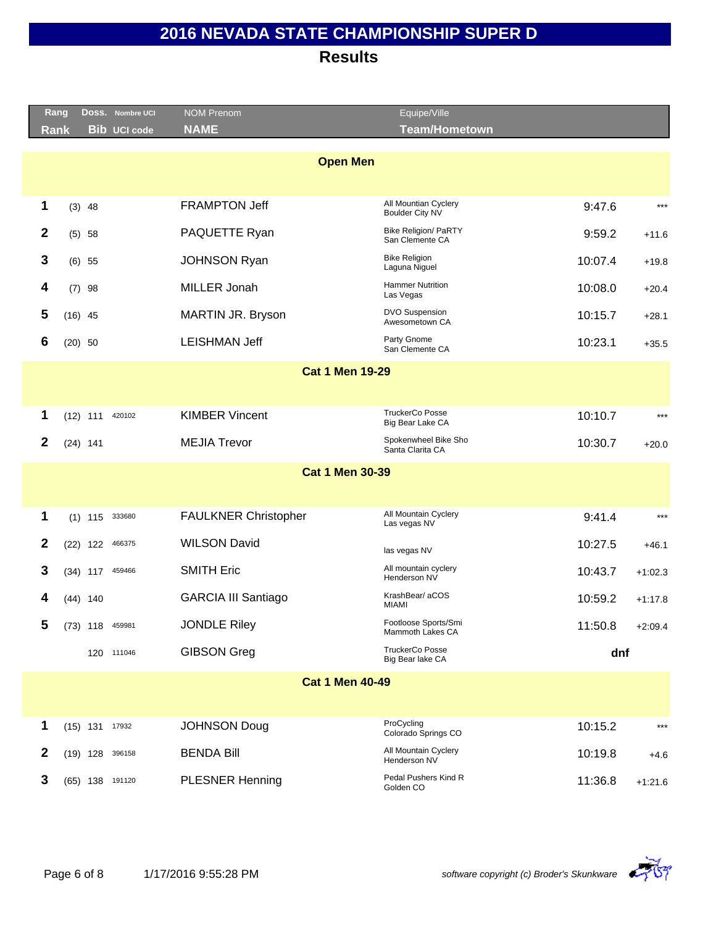|                  | Rang<br>DOSS. Nombre UCI    | <b>NOM Prenom</b>           | Equipe/Ville                                   |         |           |
|------------------|-----------------------------|-----------------------------|------------------------------------------------|---------|-----------|
|                  | <b>Bib UCI code</b><br>Rank | <b>NAME</b>                 | <b>Team/Hometown</b>                           |         |           |
|                  |                             |                             |                                                |         |           |
|                  |                             | <b>Open Men</b>             |                                                |         |           |
|                  |                             |                             |                                                |         |           |
| 1                | $(3)$ 48                    | <b>FRAMPTON Jeff</b>        | All Mountian Cyclery<br><b>Boulder City NV</b> | 9:47.6  | $***$     |
| $\boldsymbol{2}$ | (5) 58                      | PAQUETTE Ryan               | <b>Bike Religion/ PaRTY</b><br>San Clemente CA | 9:59.2  | $+11.6$   |
| 3                | $(6)$ 55                    | <b>JOHNSON Ryan</b>         | <b>Bike Religion</b><br>Laguna Niguel          | 10:07.4 | $+19.8$   |
| 4                | $(7)$ 98                    | MILLER Jonah                | <b>Hammer Nutrition</b><br>Las Vegas           | 10:08.0 | $+20.4$   |
| 5                | $(16)$ 45                   | MARTIN JR. Bryson           | <b>DVO Suspension</b><br>Awesometown CA        | 10:15.7 | $+28.1$   |
| 6                | $(20)$ 50                   | <b>LEISHMAN Jeff</b>        | Party Gnome<br>San Clemente CA                 | 10:23.1 | $+35.5$   |
|                  |                             | <b>Cat 1 Men 19-29</b>      |                                                |         |           |
|                  |                             |                             |                                                |         |           |
| 1                | $(12)$ 111<br>420102        | <b>KIMBER Vincent</b>       | <b>TruckerCo Posse</b><br>Big Bear Lake CA     | 10:10.7 | $***$     |
| $\boldsymbol{2}$ | $(24)$ 141                  | <b>MEJIA Trevor</b>         | Spokenwheel Bike Sho<br>Santa Clarita CA       | 10:30.7 | $+20.0$   |
|                  |                             | <b>Cat 1 Men 30-39</b>      |                                                |         |           |
|                  |                             |                             |                                                |         |           |
| 1                | $(1)$ 115<br>333680         | <b>FAULKNER Christopher</b> | All Mountain Cyclery<br>Las vegas NV           | 9:41.4  | $***$     |
| $\boldsymbol{2}$ | $(22)$ 122<br>466375        | <b>WILSON David</b>         | las vegas NV                                   | 10:27.5 | $+46.1$   |
| 3                | $(34)$ 117<br>459466        | <b>SMITH Eric</b>           | All mountain cyclery<br>Henderson NV           | 10:43.7 | $+1:02.3$ |
| 4                | $(44)$ 140                  | <b>GARCIA III Santiago</b>  | KrashBear/ aCOS<br><b>MIAMI</b>                | 10:59.2 | $+1:17.8$ |
| 5                | (73) 118 459981             | <b>JONDLE Riley</b>         | Footloose Sports/Smi<br>Mammoth Lakes CA       | 11:50.8 | $+2:09.4$ |
|                  | 120 111046                  | <b>GIBSON Greg</b>          | <b>TruckerCo Posse</b><br>Big Bear lake CA     | dnf     |           |
|                  |                             | <b>Cat 1 Men 40-49</b>      |                                                |         |           |
|                  |                             |                             |                                                |         |           |
| 1                | $(15)$ 131 17932            | <b>JOHNSON Doug</b>         | ProCycling<br>Colorado Springs CO              | 10:15.2 | $***$     |
| $\mathbf{2}$     | $(19)$ 128<br>396158        | <b>BENDA Bill</b>           | All Mountain Cyclery<br>Henderson NV           | 10:19.8 | $+4.6$    |
| 3                | $(65)$ 138<br>191120        | <b>PLESNER Henning</b>      | Pedal Pushers Kind R<br>Golden CO              | 11:36.8 | $+1:21.6$ |

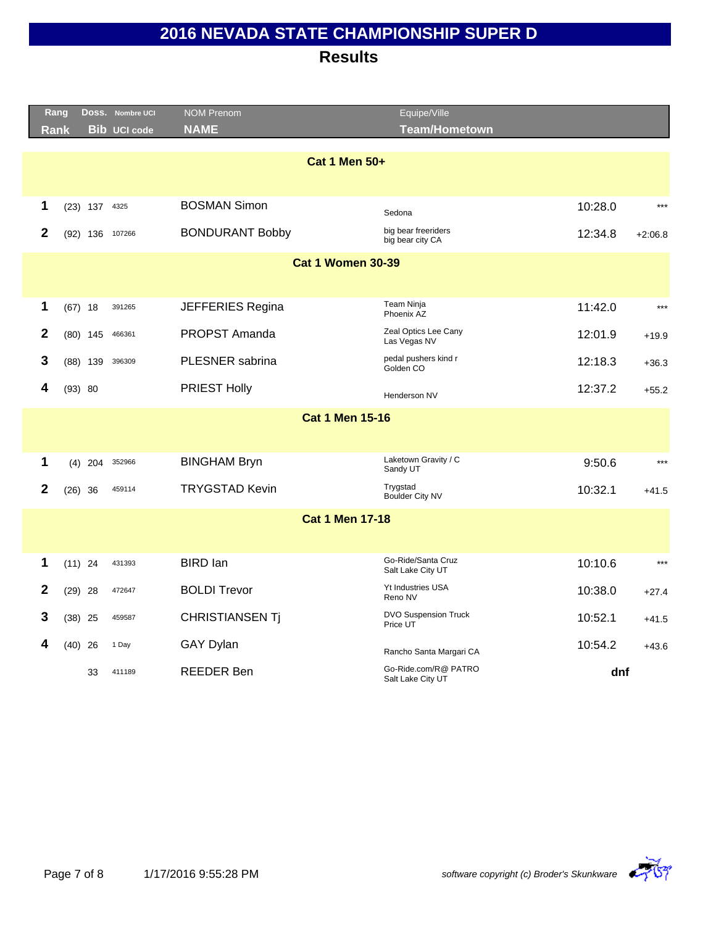|              | Rang        |                 | Doss. Nombre UCI    | <b>NOM Prenom</b>        | Equipe/Ville                              |         |           |
|--------------|-------------|-----------------|---------------------|--------------------------|-------------------------------------------|---------|-----------|
|              | <b>Rank</b> |                 | <b>Bib UCI code</b> | <b>NAME</b>              | <b>Team/Hometown</b>                      |         |           |
|              |             |                 |                     | <b>Cat 1 Men 50+</b>     |                                           |         | $***$     |
| 1            |             | $(23)$ 137 4325 |                     | <b>BOSMAN Simon</b>      | Sedona                                    | 10:28.0 |           |
| $\mathbf{2}$ |             | $(92)$ 136      | 107266              | <b>BONDURANT Bobby</b>   | big bear freeriders<br>big bear city CA   | 12:34.8 | $+2:06.8$ |
|              |             |                 |                     | <b>Cat 1 Women 30-39</b> |                                           |         |           |
|              |             |                 |                     |                          |                                           |         |           |
| 1            |             | $(67)$ 18       | 391265              | JEFFERIES Regina         | Team Ninja<br>Phoenix AZ                  | 11:42.0 | $***$     |
| $\mathbf{2}$ |             | $(80)$ 145      | 466361              | PROPST Amanda            | Zeal Optics Lee Cany<br>Las Vegas NV      | 12:01.9 | $+19.9$   |
| 3            |             | $(88)$ 139      | 396309              | PLESNER sabrina          | pedal pushers kind r<br>Golden CO         | 12:18.3 | $+36.3$   |
| 4            |             | (93) 80         |                     | <b>PRIEST Holly</b>      | Henderson NV                              | 12:37.2 | $+55.2$   |
|              |             |                 |                     | <b>Cat 1 Men 15-16</b>   |                                           |         |           |
| 1            |             | $(4)$ 204       | 352966              | <b>BINGHAM Bryn</b>      | Laketown Gravity / C<br>Sandy UT          | 9:50.6  | $***$     |
| $\mathbf{2}$ |             | $(26)$ 36       | 459114              | <b>TRYGSTAD Kevin</b>    | Trygstad<br>Boulder City NV               | 10:32.1 | $+41.5$   |
|              |             |                 |                     | <b>Cat 1 Men 17-18</b>   |                                           |         |           |
| 1            |             | $(11)$ 24       | 431393              | <b>BIRD</b> lan          | Go-Ride/Santa Cruz<br>Salt Lake City UT   | 10:10.6 | $***$     |
| $\mathbf{2}$ |             | $(29)$ 28       | 472647              | <b>BOLDI Trevor</b>      | Yt Industries USA<br>Reno NV              | 10:38.0 | $+27.4$   |
| 3            |             | $(38)$ 25       | 459587              | <b>CHRISTIANSEN Tj</b>   | <b>DVO Suspension Truck</b><br>Price UT   | 10:52.1 | $+41.5$   |
| 4            |             | $(40)$ 26       | 1 Day               | <b>GAY Dylan</b>         | Rancho Santa Margari CA                   | 10:54.2 | $+43.6$   |
|              |             | 33              | 411189              | <b>REEDER Ben</b>        | Go-Ride.com/R@ PATRO<br>Salt Lake City UT | dnf     |           |